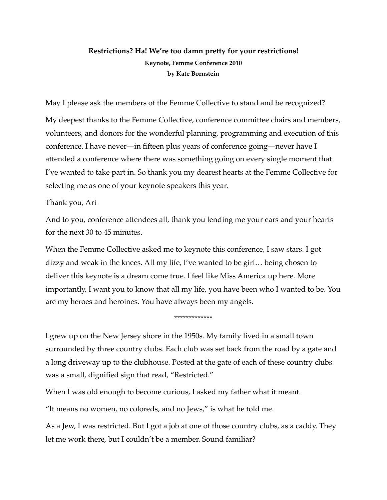# **Restrictions? Ha! We're too damn pretty for your restrictions! Keynote, Femme Conference 2010 by Kate Bornstein**

May I please ask the members of the Femme Collective to stand and be recognized?

My deepest thanks to the Femme Collective, conference committee chairs and members, volunteers, and donors for the wonderful planning, programming and execution of this conference. I have never—in fifteen plus years of conference going—never have I attended a conference where there was something going on every single moment that I've wanted to take part in. So thank you my dearest hearts at the Femme Collective for selecting me as one of your keynote speakers this year.

# Thank you, Ari

And to you, conference attendees all, thank you lending me your ears and your hearts for the next 30 to 45 minutes.

When the Femme Collective asked me to keynote this conference, I saw stars. I got dizzy and weak in the knees. All my life, I've wanted to be girl… being chosen to deliver this keynote is a dream come true. I feel like Miss America up here. More importantly, I want you to know that all my life, you have been who I wanted to be. You are my heroes and heroines. You have always been my angels.

#### \*\*\*\*\*\*\*\*\*\*\*\*\*

I grew up on the New Jersey shore in the 1950s. My family lived in a small town surrounded by three country clubs. Each club was set back from the road by a gate and a long driveway up to the clubhouse. Posted at the gate of each of these country clubs was a small, dignified sign that read, "Restricted."

When I was old enough to become curious, I asked my father what it meant.

"It means no women, no coloreds, and no Jews," is what he told me.

As a Jew, I was restricted. But I got a job at one of those country clubs, as a caddy. They let me work there, but I couldn't be a member. Sound familiar?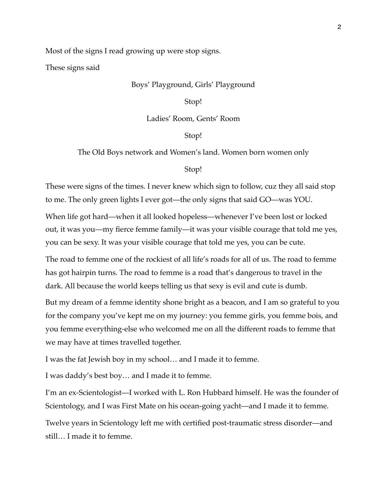Most of the signs I read growing up were stop signs.

These signs said

## Boys' Playground, Girls' Playground

#### Stop!

#### Ladies' Room, Gents' Room

# Stop!

## The Old Boys network and Women's land. Women born women only

#### Stop!

These were signs of the times. I never knew which sign to follow, cuz they all said stop to me. The only green lights I ever got—the only signs that said GO—was YOU.

When life got hard—when it all looked hopeless—whenever I've been lost or locked out, it was you—my fierce femme family—it was your visible courage that told me yes, you can be sexy. It was your visible courage that told me yes, you can be cute.

The road to femme one of the rockiest of all life's roads for all of us. The road to femme has got hairpin turns. The road to femme is a road that's dangerous to travel in the dark. All because the world keeps telling us that sexy is evil and cute is dumb.

But my dream of a femme identity shone bright as a beacon, and I am so grateful to you for the company you've kept me on my journey: you femme girls, you femme bois, and you femme everything-else who welcomed me on all the different roads to femme that we may have at times travelled together.

I was the fat Jewish boy in my school… and I made it to femme.

I was daddy's best boy… and I made it to femme.

I'm an ex-Scientologist—I worked with L. Ron Hubbard himself. He was the founder of Scientology, and I was First Mate on his ocean-going yacht—and I made it to femme.

Twelve years in Scientology left me with certified post-traumatic stress disorder—and still… I made it to femme.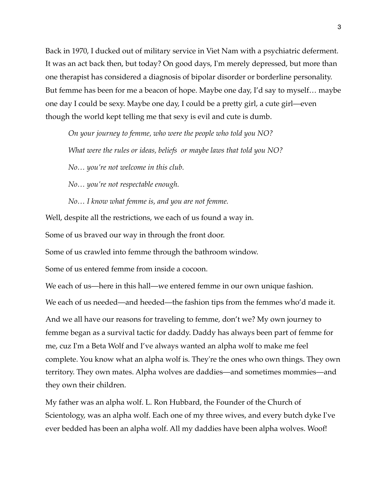Back in 1970, I ducked out of military service in Viet Nam with a psychiatric deferment. It was an act back then, but today? On good days, I'm merely depressed, but more than one therapist has considered a diagnosis of bipolar disorder or borderline personality. But femme has been for me a beacon of hope. Maybe one day, I'd say to myself… maybe one day I could be sexy. Maybe one day, I could be a pretty girl, a cute girl—even though the world kept telling me that sexy is evil and cute is dumb.

*On your journey to femme, who were the people who told you NO? What were the rules or ideas, beliefs or maybe laws that told you NO?*

*No… you're not welcome in this club.* 

*No… you're not respectable enough.*

*No… I know what femme is, and you are not femme.*

Well, despite all the restrictions, we each of us found a way in.

Some of us braved our way in through the front door.

Some of us crawled into femme through the bathroom window.

Some of us entered femme from inside a cocoon.

We each of us—here in this hall—we entered femme in our own unique fashion.

We each of us needed—and heeded—the fashion tips from the femmes who'd made it.

And we all have our reasons for traveling to femme, don't we? My own journey to femme began as a survival tactic for daddy. Daddy has always been part of femme for me, cuz I'm a Beta Wolf and I've always wanted an alpha wolf to make me feel complete. You know what an alpha wolf is. They're the ones who own things. They own territory. They own mates. Alpha wolves are daddies—and sometimes mommies—and they own their children.

My father was an alpha wolf. L. Ron Hubbard, the Founder of the Church of Scientology, was an alpha wolf. Each one of my three wives, and every butch dyke I've ever bedded has been an alpha wolf. All my daddies have been alpha wolves. Woof!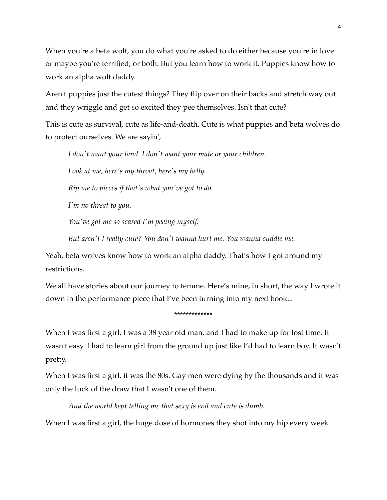When you're a beta wolf, you do what you're asked to do either because you're in love or maybe you're terrified, or both. But you learn how to work it. Puppies know how to work an alpha wolf daddy.

Aren't puppies just the cutest things? They flip over on their backs and stretch way out and they wriggle and get so excited they pee themselves. Isn't that cute?

This is cute as survival, cute as life-and-death. Cute is what puppies and beta wolves do to protect ourselves. We are sayin',

*I don't want your land. I don't want your mate or your children.* 

*Look at me, here's my throat, here's my belly.* 

*Rip me to pieces if that's what you've got to do.* 

*I'm no threat to you.* 

*You've got me so scared I'm peeing myself.* 

*But aren't I really cute? You don't wanna hurt me. You wanna cuddle me.*

Yeah, beta wolves know how to work an alpha daddy. That's how I got around my restrictions.

We all have stories about our journey to femme. Here's mine, in short, the way I wrote it down in the performance piece that I've been turning into my next book...

\*\*\*\*\*\*\*\*\*\*\*\*\*

When I was first a girl, I was a 38 year old man, and I had to make up for lost time. It wasn't easy. I had to learn girl from the ground up just like I'd had to learn boy. It wasn't pretty.

When I was first a girl, it was the 80s. Gay men were dying by the thousands and it was only the luck of the draw that I wasn't one of them.

*And the world kept telling me that sexy is evil and cute is dumb.*

When I was first a girl, the huge dose of hormones they shot into my hip every week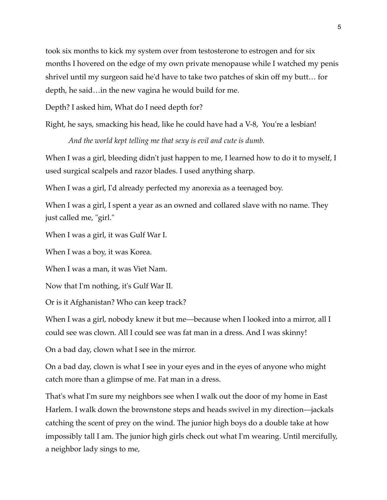took six months to kick my system over from testosterone to estrogen and for six months I hovered on the edge of my own private menopause while I watched my penis shrivel until my surgeon said he'd have to take two patches of skin off my butt… for depth, he said…in the new vagina he would build for me.

Depth? I asked him, What do I need depth for?

Right, he says, smacking his head, like he could have had a V-8, You're a lesbian!

*And the world kept telling me that sexy is evil and cute is dumb.*

When I was a girl, bleeding didn't just happen to me, I learned how to do it to myself, I used surgical scalpels and razor blades. I used anything sharp.

When I was a girl, I'd already perfected my anorexia as a teenaged boy.

When I was a girl, I spent a year as an owned and collared slave with no name. They just called me, "girl."

When I was a girl, it was Gulf War I.

When I was a boy, it was Korea.

When I was a man, it was Viet Nam.

Now that I'm nothing, it's Gulf War II.

Or is it Afghanistan? Who can keep track?

When I was a girl, nobody knew it but me—because when I looked into a mirror, all I could see was clown. All I could see was fat man in a dress. And I was skinny!

On a bad day, clown what I see in the mirror.

On a bad day, clown is what I see in your eyes and in the eyes of anyone who might catch more than a glimpse of me. Fat man in a dress.

That's what I'm sure my neighbors see when I walk out the door of my home in East Harlem. I walk down the brownstone steps and heads swivel in my direction—jackals catching the scent of prey on the wind. The junior high boys do a double take at how impossibly tall I am. The junior high girls check out what I'm wearing. Until mercifully, a neighbor lady sings to me,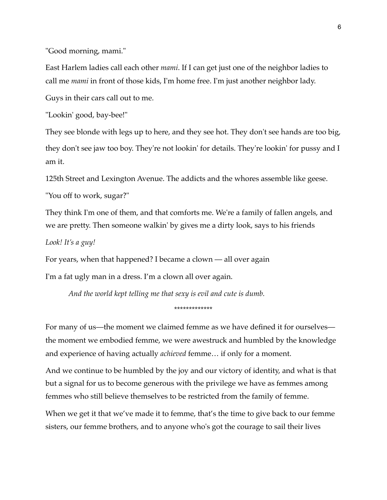"Good morning, mami."

East Harlem ladies call each other *mami*. If I can get just one of the neighbor ladies to call me *mami* in front of those kids, I'm home free. I'm just another neighbor lady.

Guys in their cars call out to me.

"Lookin' good, bay-bee!"

They see blonde with legs up to here, and they see hot. They don't see hands are too big, they don't see jaw too boy. They're not lookin' for details. They're lookin' for pussy and I am it.

125th Street and Lexington Avenue. The addicts and the whores assemble like geese.

"You off to work, sugar?"

They think I'm one of them, and that comforts me. We're a family of fallen angels, and we are pretty. Then someone walkin' by gives me a dirty look, says to his friends

*Look! It's a guy!*

For years, when that happened? I became a clown — all over again

I'm a fat ugly man in a dress. I'm a clown all over again.

*And the world kept telling me that sexy is evil and cute is dumb.*

\*\*\*\*\*\*\*\*\*\*\*\*\*

For many of us—the moment we claimed femme as we have defined it for ourselves the moment we embodied femme, we were awestruck and humbled by the knowledge and experience of having actually *achieved* femme… if only for a moment.

And we continue to be humbled by the joy and our victory of identity, and what is that but a signal for us to become generous with the privilege we have as femmes among femmes who still believe themselves to be restricted from the family of femme.

When we get it that we've made it to femme, that's the time to give back to our femme sisters, our femme brothers, and to anyone who's got the courage to sail their lives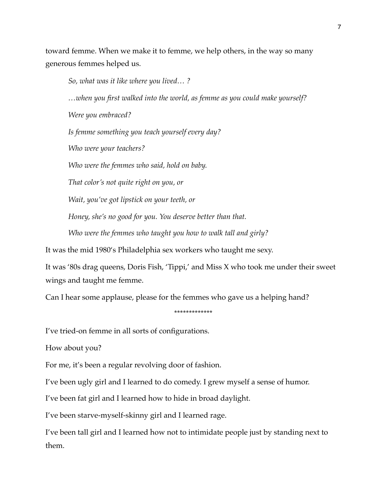toward femme. When we make it to femme, we help others, in the way so many generous femmes helped us.

*So, what was it like where you lived… ? …when you first walked into the world, as femme as you could make yourself? Were you embraced? Is femme something you teach yourself every day? Who were your teachers? Who were the femmes who said, hold on baby. That color's not quite right on you, or Wait, you've got lipstick on your teeth, or Honey, she's no good for you. You deserve better than that. Who were the femmes who taught you how to walk tall and girly?* It was the mid 1980's Philadelphia sex workers who taught me sexy.

It was '80s drag queens, Doris Fish, 'Tippi,' and Miss X who took me under their sweet

wings and taught me femme.

Can I hear some applause, please for the femmes who gave us a helping hand?

\*\*\*\*\*\*\*\*\*\*\*\*\*

I've tried-on femme in all sorts of configurations.

How about you?

For me, it's been a regular revolving door of fashion.

I've been ugly girl and I learned to do comedy. I grew myself a sense of humor.

I've been fat girl and I learned how to hide in broad daylight.

I've been starve-myself-skinny girl and I learned rage.

I've been tall girl and I learned how not to intimidate people just by standing next to them.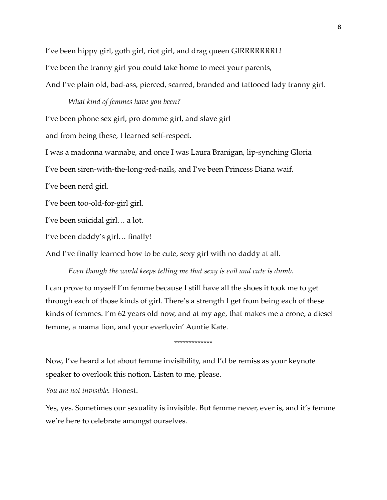I've been hippy girl, goth girl, riot girl, and drag queen GIRRRRRRRL!

I've been the tranny girl you could take home to meet your parents,

And I've plain old, bad-ass, pierced, scarred, branded and tattooed lady tranny girl.

## *What kind of femmes have you been?*

I've been phone sex girl, pro domme girl, and slave girl

and from being these, I learned self-respect.

I was a madonna wannabe, and once I was Laura Branigan, lip-synching Gloria

I've been siren-with-the-long-red-nails, and I've been Princess Diana waif.

I've been nerd girl.

I've been too-old-for-girl girl.

I've been suicidal girl… a lot.

I've been daddy's girl… finally!

And I've finally learned how to be cute, sexy girl with no daddy at all.

*Even though the world keeps telling me that sexy is evil and cute is dumb.*

I can prove to myself I'm femme because I still have all the shoes it took me to get through each of those kinds of girl. There's a strength I get from being each of these kinds of femmes. I'm 62 years old now, and at my age, that makes me a crone, a diesel femme, a mama lion, and your everlovin' Auntie Kate.

\*\*\*\*\*\*\*\*\*\*\*\*\*

Now, I've heard a lot about femme invisibility, and I'd be remiss as your keynote speaker to overlook this notion. Listen to me, please.

*You are not invisible.* Honest.

Yes, yes. Sometimes our sexuality is invisible. But femme never, ever is, and it's femme we're here to celebrate amongst ourselves.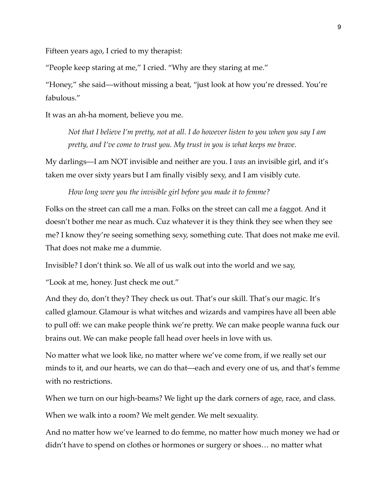Fifteen years ago, I cried to my therapist:

"People keep staring at me," I cried. "Why are they staring at me."

"Honey," she said—without missing a beat, "just look at how you're dressed. You're fabulous."

It was an ah-ha moment, believe you me.

*Not that I believe I'm pretty, not at all. I do however listen to you when you say I am pretty, and I've come to trust you. My trust in you is what keeps me brave.* 

My darlings—I am NOT invisible and neither are you. I *was* an invisible girl, and it's taken me over sixty years but I am finally visibly sexy, and I am visibly cute.

*How long were you the invisible girl before you made it to femme?*

Folks on the street can call me a man. Folks on the street can call me a faggot. And it doesn't bother me near as much. Cuz whatever it is they think they see when they see me? I know they're seeing something sexy, something cute. That does not make me evil. That does not make me a dummie.

Invisible? I don't think so. We all of us walk out into the world and we say,

"Look at me, honey. Just check me out."

And they do, don't they? They check us out. That's our skill. That's our magic. It's called glamour. Glamour is what witches and wizards and vampires have all been able to pull off: we can make people think we're pretty. We can make people wanna fuck our brains out. We can make people fall head over heels in love with us.

No matter what we look like, no matter where we've come from, if we really set our minds to it, and our hearts, we can do that—each and every one of us, and that's femme with no restrictions.

When we turn on our high-beams? We light up the dark corners of age, race, and class.

When we walk into a room? We melt gender. We melt sexuality.

And no matter how we've learned to do femme, no matter how much money we had or didn't have to spend on clothes or hormones or surgery or shoes… no matter what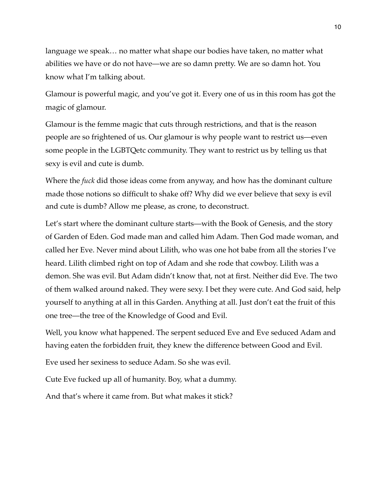language we speak… no matter what shape our bodies have taken, no matter what abilities we have or do not have—we are so damn pretty. We are so damn hot. You know what I'm talking about.

Glamour is powerful magic, and you've got it. Every one of us in this room has got the magic of glamour.

Glamour is the femme magic that cuts through restrictions, and that is the reason people are so frightened of us. Our glamour is why people want to restrict us—even some people in the LGBTQetc community. They want to restrict us by telling us that sexy is evil and cute is dumb.

Where the *fuck* did those ideas come from anyway, and how has the dominant culture made those notions so difficult to shake off? Why did we ever believe that sexy is evil and cute is dumb? Allow me please, as crone, to deconstruct.

Let's start where the dominant culture starts—with the Book of Genesis, and the story of Garden of Eden. God made man and called him Adam. Then God made woman, and called her Eve. Never mind about Lilith, who was one hot babe from all the stories I've heard. Lilith climbed right on top of Adam and she rode that cowboy. Lilith was a demon. She was evil. But Adam didn't know that, not at first. Neither did Eve. The two of them walked around naked. They were sexy. I bet they were cute. And God said, help yourself to anything at all in this Garden. Anything at all. Just don't eat the fruit of this one tree—the tree of the Knowledge of Good and Evil.

Well, you know what happened. The serpent seduced Eve and Eve seduced Adam and having eaten the forbidden fruit, they knew the difference between Good and Evil.

Eve used her sexiness to seduce Adam. So she was evil.

Cute Eve fucked up all of humanity. Boy, what a dummy.

And that's where it came from. But what makes it stick?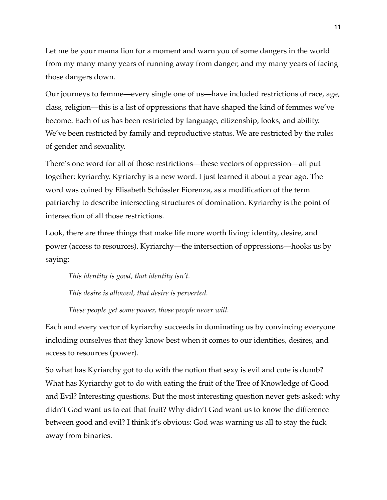Let me be your mama lion for a moment and warn you of some dangers in the world from my many many years of running away from danger, and my many years of facing those dangers down.

Our journeys to femme—every single one of us—have included restrictions of race, age, class, religion—this is a list of oppressions that have shaped the kind of femmes we've become. Each of us has been restricted by language, citizenship, looks, and ability. We've been restricted by family and reproductive status. We are restricted by the rules of gender and sexuality.

There's one word for all of those restrictions—these vectors of oppression—all put together: kyriarchy. Kyriarchy is a new word. I just learned it about a year ago. The word was coined by Elisabeth Schüssler Fiorenza, as a modification of the term patriarchy to describe intersecting structures of domination. Kyriarchy is the point of intersection of all those restrictions.

Look, there are three things that make life more worth living: identity, desire, and power (access to resources). Kyriarchy—the intersection of oppressions—hooks us by saying:

*This identity is good, that identity isn't.*

*This desire is allowed, that desire is perverted.*

*These people get some power, those people never will.*

Each and every vector of kyriarchy succeeds in dominating us by convincing everyone including ourselves that they know best when it comes to our identities, desires, and access to resources (power).

So what has Kyriarchy got to do with the notion that sexy is evil and cute is dumb? What has Kyriarchy got to do with eating the fruit of the Tree of Knowledge of Good and Evil? Interesting questions. But the most interesting question never gets asked: why didn't God want us to eat that fruit? Why didn't God want us to know the difference between good and evil? I think it's obvious: God was warning us all to stay the fuck away from binaries.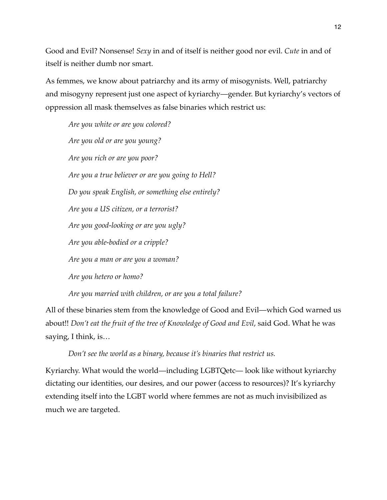Good and Evil? Nonsense! *Sexy* in and of itself is neither good nor evil. *Cute* in and of itself is neither dumb nor smart.

As femmes, we know about patriarchy and its army of misogynists. Well, patriarchy and misogyny represent just one aspect of kyriarchy—gender. But kyriarchy's vectors of oppression all mask themselves as false binaries which restrict us:

*Are you white or are you colored? Are you old or are you young? Are you rich or are you poor? Are you a true believer or are you going to Hell? Do you speak English, or something else entirely? Are you a US citizen, or a terrorist? Are you good-looking or are you ugly? Are you able-bodied or a cripple? Are you a man or are you a woman? Are you hetero or homo?*

*Are you married with children, or are you a total failure?*

All of these binaries stem from the knowledge of Good and Evil—which God warned us about!! *Don't eat the fruit of the tree of Knowledge of Good and Evil*, said God. What he was saying, I think, is…

*Don't see the world as a binary, because it's binaries that restrict us.*

Kyriarchy. What would the world—including LGBTQetc— look like without kyriarchy dictating our identities, our desires, and our power (access to resources)? It's kyriarchy extending itself into the LGBT world where femmes are not as much invisibilized as much we are targeted.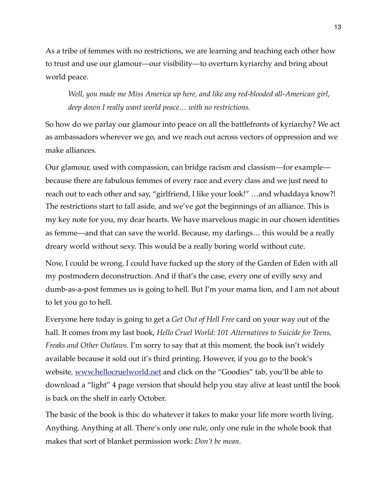As a tribe of femmes with no restrictions, we are learning and teaching each other how to trust and use our glamour—our visibility—to overturn kyriarchy and bring about world peace.

*Well, you made me Miss America up here, and like any red-blooded all-American girl, deep down I really want world peace… with no restrictions.*

So how do we parlay our glamour into peace on all the battlefronts of kyriarchy? We act as ambassadors wherever we go, and we reach out across vectors of oppression and we make alliances.

Our glamour, used with compassion, can bridge racism and classism—for example because there are fabulous femmes of every race and every class and we just need to reach out to each other and say, "girlfriend, I like your look!" …and whaddaya know?! The restrictions start to fall aside, and we've got the beginnings of an alliance. This is my key note for you, my dear hearts. We have marvelous magic in our chosen identities as femme—and that can save the world. Because, my darlings… this would be a really dreary world without sexy. This would be a really boring world without cute.

Now, I could be wrong. I could have fucked up the story of the Garden of Eden with all my postmodern deconstruction. And if that's the case, every one of evilly sexy and dumb-as-a-post femmes us is going to hell. But I'm your mama lion, and I am not about to let you go to hell.

Everyone here today is going to get a *Get Out of Hell Free* card on your way out of the hall. It comes from my last book, *Hello Cruel World: 101 Alternatives to Suicide for Teens, Freaks and Other Outlaws.* I'm sorry to say that at this moment, the book isn't widely available because it sold out it's third printing. However, if you go to the book's website, [www.hellocruelworld.net](http://www.hellocruelworld.net) and click on the "Goodies" tab, you'll be able to download a "light" 4 page version that should help you stay alive at least until the book is back on the shelf in early October.

The basic of the book is this: do whatever it takes to make your life more worth living. Anything. Anything at all. There's only one rule, only one rule in the whole book that makes that sort of blanket permission work: *Don't be mean.*